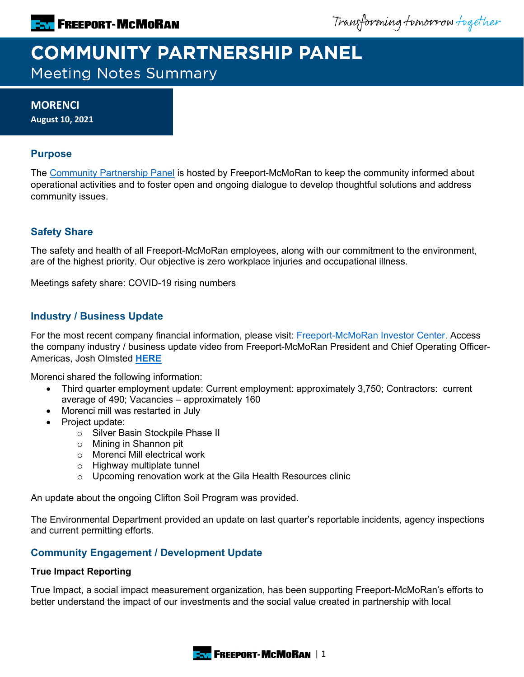Transforming tomorrow together

# **COMMUNITY PARTNERSHIP PANEL Meeting Notes Summary**

## **MORENCI August 10, 2021**

## **Purpose**

The [Community Partnership Panel](https://www.freeportinmycommunity.com/stakeholders/stakeholder-engagement-) is hosted by Freeport-McMoRan to keep the community informed about operational activities and to foster open and ongoing dialogue to develop thoughtful solutions and address community issues.

# **Safety Share**

The safety and health of all Freeport-McMoRan employees, along with our commitment to the environment, are of the highest priority. Our objective is zero workplace injuries and occupational illness.

Meetings safety share: COVID-19 rising numbers

# **Industry / Business Update**

For the most recent company financial information, please visit: [Freeport-McMoRan Investor Center.](http://investors.fcx.com/investors/default.aspx) Access the company industry / business update video from Freeport-McMoRan President and Chief Operating Officer-Americas, Josh Olmsted **[HERE](https://fmi.hosted.panopto.com/Panopto/Pages/Viewer.aspx?id=1db79e82-512e-46a0-87fa-ad7b01320113)**

Morenci shared the following information:

- Third quarter employment update: Current employment: approximately 3,750; Contractors: current average of 490; Vacancies – approximately 160
- Morenci mill was restarted in July
- Project update:
	- o Silver Basin Stockpile Phase II
	- o Mining in Shannon pit
	- o Morenci Mill electrical work
	- o Highway multiplate tunnel
	- o Upcoming renovation work at the Gila Health Resources clinic

An update about the ongoing Clifton Soil Program was provided.

The Environmental Department provided an update on last quarter's reportable incidents, agency inspections and current permitting efforts.

# **Community Engagement / Development Update**

#### **True Impact Reporting**

True Impact, a social impact measurement organization, has been supporting Freeport-McMoRan's efforts to better understand the impact of our investments and the social value created in partnership with local